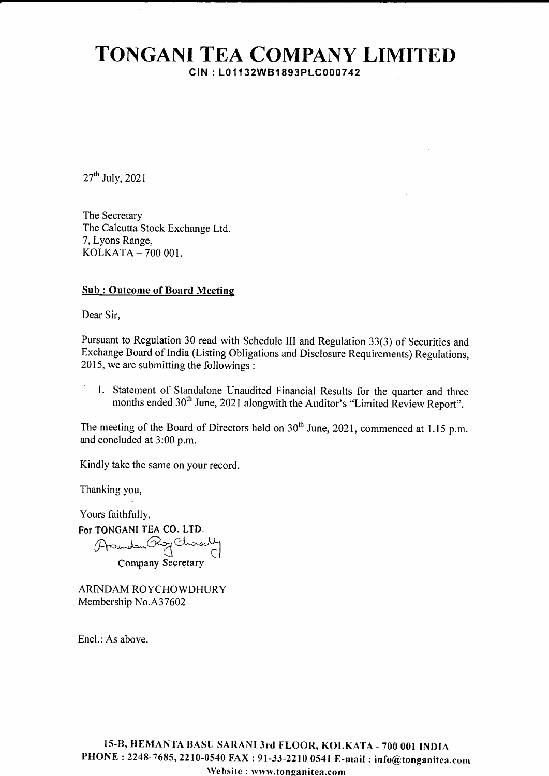## TONGANI TEA COMPANY LIMITED CIN: L01132WB1893PLC000742

 $27<sup>th</sup>$  July, 2021

The Secretary The Calcutta Stock Exchange Ltd. 7, Lyons Range, KOLKATA \_ 7OO OOI.

#### **Sub: Outcome of Board Meeting**

Dear Sir,

Pursuant to Regulation 30 read with Schedule III and Regulation 33(3) of Securities and Exchange Board of India (Listing Obligations and Disclosure Requirements) Regulations, 2015, we are submitting the followings :

1. Statement of Standalone Unaudited Financial Results for the quarter and three months ended 30" June, 2021 alongwith the Auditor's "Limited Review Report"

The meeting of the Board of Directors held on  $30<sup>th</sup>$  June, 2021, commenced at 1.15 p.m. and concluded at 3:00 p.m.

Kindly take the same on your record.

Thanking you,

Yours faithfully, For TONGANI TEA CO. LTD Arsundam Rog Chowoch Company Secrgtary

ARINDAM ROYCHOWDHURY Membership No.A37602

Encl.: As above.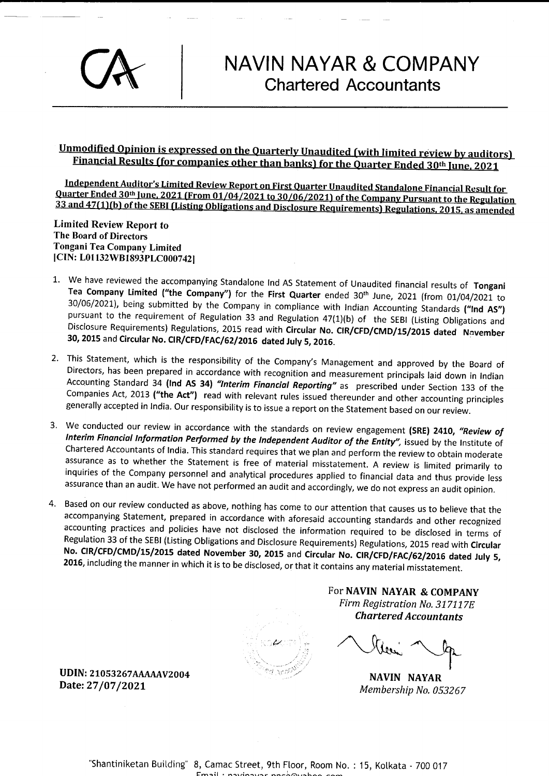# NAVIN NAYAR & COMPANY Chartered Accountants

### <u>Unmodified Opinion is expressed on the Quarterly Unaudited (with limited review by auditors)</u> <u>Financial Results (for companies other than banks) for the Quarter Ended 30th June, 2021</u>

Independent Auditor's Limited Review Report on First Quarter Unaudited Standalone Financial Result for Quarter Ended 30th June, 2021 (From 01/04/2021 to 30/06/2021) of the Company Pursuant to the Regulation 33 and 47(1)(b) of the SEBI (Listing Obligations and Disclosure Requirements) Regulations, 2015, as amended

Limited Review Report to The Board of Directors Tongani Tea Company Limited [CIN: L01132WB1893PLC000742]

- 1. We have reviewed the accompanying Standalone Ind AS Statement of Unaudited financial results of Tongani<br>Tea Company Limited ("the Company") for the First Quarter ended  $30^{th}$  June, 2021 (from 01/04/2021 to  $30/06/2021$ 30, 2015 and Circular No. CIR/CFD/FAC/62/2016 dated July 5, 2016.
- 2. This Statement, which is the responsibility of the Company's Management and approved by the Board of Directors, has been prepared in accordance with recognition and measurement principals laid down in Indian Accounting generally accepted in India. Our responsibility is to issue a report on the Statement based on our review.
- 3. We conducted our review in accordance with the standards on review engagement (SRE) 2410, "Review of Interim Financial Information Performed by the Independent Auditor of the Entity", issued by the Institute of Chartere inquiries of the Company personnel and analytical procedures applied to financial data and thus provide less assurance than an audit. We have not performed an audit and accordingly, we do not express an audit opinion.
- 4. Based on our review conducted as above, nothing has come to our attention that causes us to believe that the accompanying Statement, prepared in accordance with aforesaid accounting standards and other recognized accoun

 $\frac{1}{2}$  ,  $\frac{1}{2}$  ,  $\frac{1}{2}$ 

FOT NAVIN NAYAR & COMPANY Firm Registration No. 317117E Chartered Accountants

NAVIN NAYAR Membership No.053267

UDIN: 21053267AAAAAAV2004 Date: 27 /07 /202L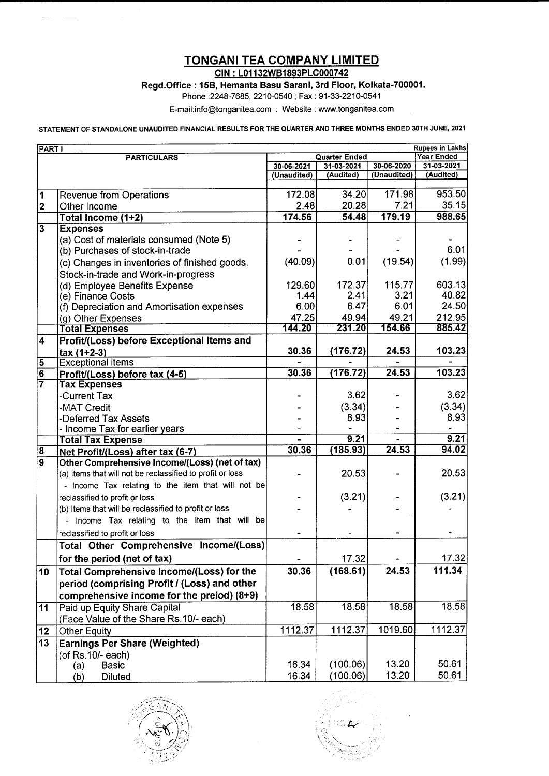### TONGANI TEA COMPANY LIMITED

CIN : L01 132W81893PLC000742

Regd.Office : 15B, Hemanta Basu Sarani, 3rd Floor, Kolkata-700001.

Phone :2248-7685, 2210-0540 ; Fax : 91-33-2210-0541

E-mail:info@tonganitea.com : Website : www.tonganitea.com

STATEMENT OF STANDALONE UNAUDITED FINANCIAL RESULTS FOR THE QUARTER AND THREE MONTHS ENDED 3OTH JUNE, 2O2I

| <b>Rupees in Lakhs</b><br><b>PART I</b> |                                                                                     |                      |            |             |                   |
|-----------------------------------------|-------------------------------------------------------------------------------------|----------------------|------------|-------------|-------------------|
| <b>PARTICULARS</b>                      |                                                                                     | <b>Quarter Ended</b> |            |             | <b>Year Ended</b> |
|                                         |                                                                                     | 30-06-2021           | 31-03-2021 | 30-06-2020  | 31-03-2021        |
|                                         |                                                                                     | (Unaudited)          | (Audited)  | (Unaudited) | (Audited)         |
| 1                                       | <b>Revenue from Operations</b>                                                      | 172.08               | 34.20      | 171.98      | 953.50            |
| $\mathbf 2$                             | Other Income                                                                        | 2.48                 | 20.28      | 7.21        | 35.15             |
|                                         | Total Income (1+2)                                                                  | 174.56               | 54.48      | 179.19      | 988.65            |
| $\overline{\mathbf{3}}$                 | <b>Expenses</b>                                                                     |                      |            |             |                   |
|                                         | (a) Cost of materials consumed (Note 5)                                             |                      |            |             |                   |
|                                         | (b) Purchases of stock-in-trade                                                     |                      |            |             | 6.01              |
|                                         | (c) Changes in inventories of finished goods,                                       | (40.09)              | 0.01       | (19.54)     | (1.99)            |
|                                         | Stock-in-trade and Work-in-progress                                                 |                      |            |             |                   |
|                                         | (d) Employee Benefits Expense                                                       | 129.60               | 172.37     | 115.77      | 603.13            |
|                                         | (e) Finance Costs                                                                   | 1.44                 | 2.41       | 3.21        | 40.82             |
|                                         | (f) Depreciation and Amortisation expenses                                          | 6.00                 | 6.47       | 6.01        | 24.50             |
|                                         | (g) Other Expenses                                                                  | 47.25                | 49.94      | 49.21       | 212.95            |
|                                         | <b>Total Expenses</b>                                                               | 144.20               | 231.20     | 154.66      | 885.42            |
| $\overline{\mathbf{4}}$                 | Profit/(Loss) before Exceptional Items and                                          |                      |            |             |                   |
|                                         | $tax(1+2-3)$                                                                        | 30.36                | (176.72)   | 24.53       | 103.23            |
| $\overline{5}$                          | <b>Exceptional items</b>                                                            |                      |            |             |                   |
| $\overline{6}$                          | Profit/(Loss) before tax (4-5)                                                      | 30.36                | (176.72)   | 24.53       | 103.23            |
| $\overline{7}$                          | <b>Tax Expenses</b>                                                                 |                      |            |             | 3.62              |
|                                         | -Current Tax                                                                        |                      | 3.62       |             |                   |
|                                         | -MAT Credit                                                                         |                      | (3.34)     |             | (3.34)            |
|                                         | -Deferred Tax Assets                                                                |                      | 8.93       |             | 8.93              |
|                                         | - Income Tax for earlier years                                                      |                      | 9.21       |             | 9.21              |
| $\overline{8}$                          | <b>Total Tax Expense</b>                                                            | 30.36                | (185.93)   | 24.53       | 94.02             |
| $\overline{9}$                          | Net Profit/(Loss) after tax (6-7)<br>Other Comprehensive Income/(Loss) (net of tax) |                      |            |             |                   |
|                                         | (a) Items that will not be reclassified to profit or loss                           |                      | 20.53      |             | 20.53             |
|                                         | - Income Tax relating to the item that will not be                                  |                      |            |             |                   |
|                                         | reclassified to profit or loss                                                      |                      | (3.21)     |             | (3.21)            |
|                                         | (b) Items that will be reclassified to profit or loss                               |                      |            |             |                   |
|                                         | Income Tax relating to the item that will be                                        |                      |            |             |                   |
|                                         |                                                                                     |                      |            |             |                   |
|                                         | reclassified to profit or loss                                                      |                      |            |             |                   |
|                                         | Total Other Comprehensive Income/(Loss)                                             |                      |            |             |                   |
|                                         | for the period (net of tax)                                                         |                      | 17.32      |             | 17.32<br>111.34   |
| 10 <sub>1</sub>                         | Total Comprehensive Income/(Loss) for the                                           | 30.36                | (168.61)   | 24.53       |                   |
|                                         | period (comprising Profit / (Loss) and other                                        |                      |            |             |                   |
|                                         | comprehensive income for the preiod) (8+9)                                          |                      |            |             |                   |
| $\overline{11}$                         | Paid up Equity Share Capital                                                        | 18.58                | 18.58      | 18.58       | 18.58             |
|                                         | (Face Value of the Share Rs.10/- each)                                              |                      |            |             |                   |
| 12                                      | <b>Other Equity</b>                                                                 | 1112.37              | 1112.37    | 1019.60     | 1112.37           |
| 13                                      | <b>Earnings Per Share (Weighted)</b>                                                |                      |            |             |                   |
|                                         | (of Rs.10/- each)                                                                   |                      |            |             |                   |
|                                         | <b>Basic</b><br>(a)                                                                 | 16.34                | (100.06)   | 13.20       | 50.61             |
|                                         | <b>Diluted</b><br>(b)                                                               | 16.34                | (100.06)   | 13.20       | 50.61             |



సిగ్గ $\alpha_{\rm eff}$